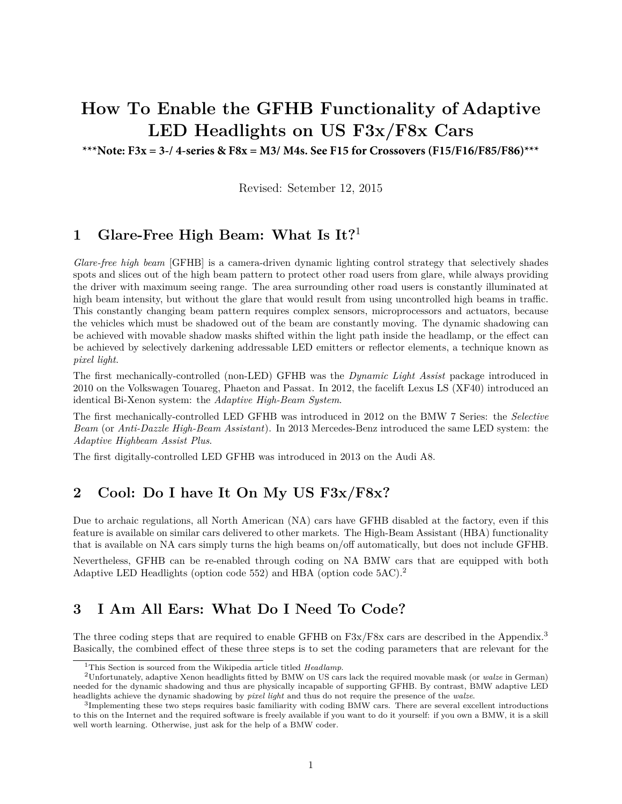# **How To Enable the GFHB Functionality of Adaptive LED Headlights on US F3x/F8x Cars**

**\*\*\*Note: F3x = 3-/ 4-series & F8x = M3/ M4s. See F15 for Crossovers (F15/F16/F85/F86)\*\*\***

Revised: Setember 12, 2015

# **1 Glare-Free High Beam: What Is It?**<sup>1</sup>

*Glare-free high beam* [GFHB] is a camera-driven dynamic lighting control strategy that selectively shades spots and slices out of the high beam pattern to protect other road users from glare, while always providing the driver with maximum seeing range. The area surrounding other road users is constantly illuminated at high beam intensity, but without the glare that would result from using uncontrolled high beams in traffic. This constantly changing beam pattern requires complex sensors, microprocessors and actuators, because the vehicles which must be shadowed out of the beam are constantly moving. The dynamic shadowing can be achieved with movable shadow masks shifted within the light path inside the headlamp, or the effect can be achieved by selectively darkening addressable LED emitters or reflector elements, a technique known as *pixel light*.

The first mechanically-controlled (non-LED) GFHB was the *Dynamic Light Assist* package introduced in 2010 on the Volkswagen Touareg, Phaeton and Passat. In 2012, the facelift Lexus LS (XF40) introduced an identical Bi-Xenon system: the *Adaptive High-Beam System*.

The first mechanically-controlled LED GFHB was introduced in 2012 on the BMW 7 Series: the *Selective Beam* (or *Anti-Dazzle High-Beam Assistant*). In 2013 Mercedes-Benz introduced the same LED system: the *Adaptive Highbeam Assist Plus*.

The first digitally-controlled LED GFHB was introduced in 2013 on the Audi A8.

## **2 Cool: Do I have It On My US F3x/F8x?**

Due to archaic regulations, all North American (NA) cars have GFHB disabled at the factory, even if this feature is available on similar cars delivered to other markets. The High-Beam Assistant (HBA) functionality that is available on NA cars simply turns the high beams on/off automatically, but does not include GFHB.

Nevertheless, GFHB can be re-enabled through coding on NA BMW cars that are equipped with both Adaptive LED Headlights (option code 552) and HBA (option code 5AC).<sup>2</sup>

## **3 I Am All Ears: What Do I Need To Code?**

The three coding steps that are required to enable GFHB on F3x/F8x cars are described in the Appendix.<sup>3</sup> Basically, the combined effect of these three steps is to set the coding parameters that are relevant for the

<sup>1</sup>This Section is sourced from the Wikipedia article titled *Headlamp*.

<sup>2</sup>Unfortunately, adaptive Xenon headlights fitted by BMW on US cars lack the required movable mask (or *walze* in German) needed for the dynamic shadowing and thus are physically incapable of supporting GFHB. By contrast, BMW adaptive LED headlights achieve the dynamic shadowing by *pixel light* and thus do not require the presence of the *walze*.

<sup>&</sup>lt;sup>3</sup>Implementing these two steps requires basic familiarity with coding BMW cars. There are several excellent introductions to this on the Internet and the required software is freely available if you want to do it yourself: if you own a BMW, it is a skill well worth learning. Otherwise, just ask for the help of a BMW coder.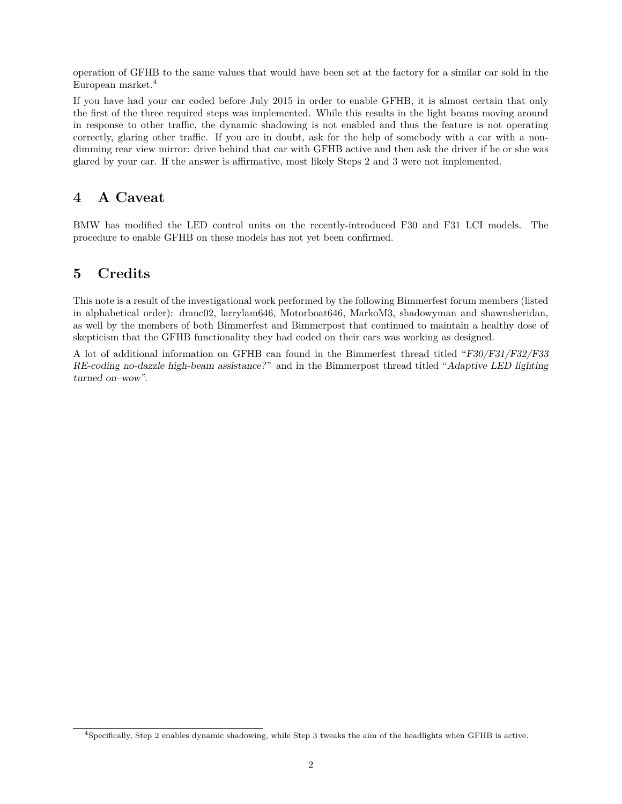operation of GFHB to the same values that would have been set at the factory for a similar car sold in the European market.<sup>4</sup>

If you have had your car coded before July 2015 in order to enable GFHB, it is almost certain that only the first of the three required steps was implemented. While this results in the light beams moving around in response to other traffic, the dynamic shadowing is not enabled and thus the feature is not operating correctly, glaring other traffic. If you are in doubt, ask for the help of somebody with a car with a nondimming rear view mirror: drive behind that car with GFHB active and then ask the driver if he or she was glared by your car. If the answer is affirmative, most likely Steps 2 and 3 were not implemented.

# **4 A Caveat**

BMW has modified the LED control units on the recently-introduced F30 and F31 LCI models. The procedure to enable GFHB on these models has not yet been confirmed.

# **5 Credits**

This note is a result of the investigational work performed by the following Bimmerfest forum members (listed in alphabetical order): dmnc02, larrylam646, Motorboat646, MarkoM3, shadowyman and shawnsheridan, as well by the members of both Bimmerfest and Bimmerpost that continued to maintain a healthy dose of skepticism that the GFHB functionality they had coded on their cars was working as designed.

A lot of additional information on GFHB can found in the Bimmerfest thread titled "F30/F31/F32/F33 RE-coding no-dazzle high-beam assistance?" and in the Bimmerpost thread titled "Adaptive LED lighting turned on–wow".

<sup>4</sup>Specifically, Step 2 enables dynamic shadowing, while Step 3 tweaks the aim of the headlights when GFHB is active.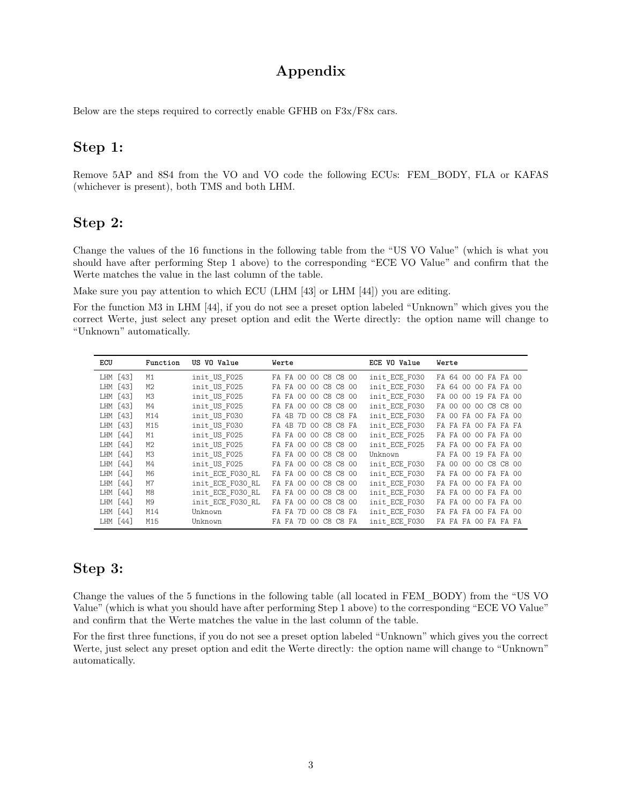# **Appendix**

Below are the steps required to correctly enable GFHB on F3x/F8x cars.

#### **Step 1:**

Remove 5AP and 8S4 from the VO and VO code the following ECUs: FEM\_BODY, FLA or KAFAS (whichever is present), both TMS and both LHM.

#### **Step 2:**

Change the values of the 16 functions in the following table from the "US VO Value" (which is what you should have after performing Step 1 above) to the corresponding "ECE VO Value" and confirm that the Werte matches the value in the last column of the table.

Make sure you pay attention to which ECU (LHM [43] or LHM [44]) you are editing.

For the function M3 in LHM [44], if you do not see a preset option labeled "Unknown" which gives you the correct Werte, just select any preset option and edit the Werte directly: the option name will change to "Unknown" automatically.

| ECU      | Function       | US VO Value      | Werte                   | ECE VO Value  | Werte                |
|----------|----------------|------------------|-------------------------|---------------|----------------------|
| LHM [43] | M1             | init US F025     | FA FA 00 00 C8 C8 00    | init ECE F030 | FA 64 00 00 FA FA 00 |
| LHM [43] | M2             | init US F025     | FA FA 00 00 C8 C8 00    | init ECE F030 | FA 64 00 00 FA FA 00 |
| LHM [43] | MЗ             | init US F025     | FA FA 00 00 C8 C8 00    | init ECE F030 | FA 00 00 19 FA FA 00 |
| LHM [43] | M4             | init US F025     | FA FA 00 00 C8 C8 00    | init ECE F030 | FA 00 00 00 C8 C8 00 |
| LHM [43] | M14            | init US F030     | FA 4B 7D 00 C8 C8 FA    | init ECE F030 | FA 00 FA 00 FA FA 00 |
| LHM [43] | M15            | init US F030     | 4B 7D 00 C8 C8 FA<br>FA | init ECE F030 | FA FA FA OO FA FA FA |
| LHM [44] | M1             | init US F025     | FA FA 00 00 C8 C8 00    | init ECE F025 | FA FA 00 00 FA FA 00 |
| LHM [44] | M <sub>2</sub> | init US F025     | FA FA 00 00 C8 C8 00    | init ECE F025 | FA FA 00 00 FA FA 00 |
| LHM [44] | MЗ             | init US F025     | FA FA 00 00 C8 C8 00    | Unknown       | FA FA 00 19 FA FA 00 |
| LHM [44] | M4             | init US F025     | FA FA 00 00 C8 C8 00    | init ECE F030 | FA 00 00 00 C8 C8 00 |
| LHM [44] | M6             | init ECE F030 RL | FA FA 00 00 C8 C8 00    | init ECE F030 | FA FA 00 00 FA FA 00 |
| LHM [44] | M7             | init ECE F030 RL | FA FA 00 00 C8 C8 00    | init ECE F030 | FA FA 00 00 FA FA 00 |
| LHM [44] | M8             | init ECE F030 RL | FA FA 00 00 C8 C8 00    | init ECE F030 | FA FA 00 00 FA FA 00 |
| LHM [44] | M9             | init ECE F030 RL | FA FA 00 00 C8 C8 00    | init ECE F030 | FA FA 00 00 FA FA 00 |
| LHM [44] | M14            | Unknown          | FA FA 7D<br>00 C8 C8 FA | init ECE F030 | FA FA FA OO FA FA OO |
| LHM [44] | M15            | Unknown          | FA FA 7D 00 C8 C8 FA    | init ECE F030 | FA FA FA OO FA FA FA |

## **Step 3:**

Change the values of the 5 functions in the following table (all located in FEM\_BODY) from the "US VO Value" (which is what you should have after performing Step 1 above) to the corresponding "ECE VO Value" and confirm that the Werte matches the value in the last column of the table.

For the first three functions, if you do not see a preset option labeled "Unknown" which gives you the correct Werte, just select any preset option and edit the Werte directly: the option name will change to "Unknown" automatically.